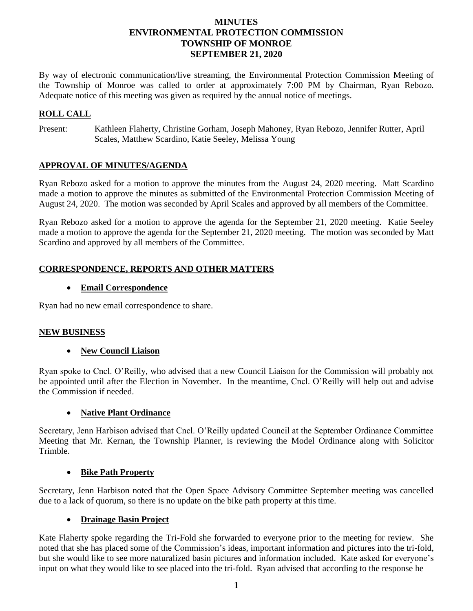# **MINUTES ENVIRONMENTAL PROTECTION COMMISSION TOWNSHIP OF MONROE SEPTEMBER 21, 2020**

By way of electronic communication/live streaming, the Environmental Protection Commission Meeting of the Township of Monroe was called to order at approximately 7:00 PM by Chairman, Ryan Rebozo. Adequate notice of this meeting was given as required by the annual notice of meetings.

### **ROLL CALL**

Present: Kathleen Flaherty, Christine Gorham, Joseph Mahoney, Ryan Rebozo, Jennifer Rutter, April Scales, Matthew Scardino, Katie Seeley, Melissa Young

# **APPROVAL OF MINUTES/AGENDA**

Ryan Rebozo asked for a motion to approve the minutes from the August 24, 2020 meeting. Matt Scardino made a motion to approve the minutes as submitted of the Environmental Protection Commission Meeting of August 24, 2020. The motion was seconded by April Scales and approved by all members of the Committee.

Ryan Rebozo asked for a motion to approve the agenda for the September 21, 2020 meeting. Katie Seeley made a motion to approve the agenda for the September 21, 2020 meeting. The motion was seconded by Matt Scardino and approved by all members of the Committee.

# **CORRESPONDENCE, REPORTS AND OTHER MATTERS**

### **Email Correspondence**

Ryan had no new email correspondence to share.

### **NEW BUSINESS**

### **New Council Liaison**

Ryan spoke to Cncl. O'Reilly, who advised that a new Council Liaison for the Commission will probably not be appointed until after the Election in November. In the meantime, Cncl. O'Reilly will help out and advise the Commission if needed.

#### **Native Plant Ordinance**

Secretary, Jenn Harbison advised that Cncl. O'Reilly updated Council at the September Ordinance Committee Meeting that Mr. Kernan, the Township Planner, is reviewing the Model Ordinance along with Solicitor Trimble.

#### **Bike Path Property**

Secretary, Jenn Harbison noted that the Open Space Advisory Committee September meeting was cancelled due to a lack of quorum, so there is no update on the bike path property at this time.

### **Drainage Basin Project**

Kate Flaherty spoke regarding the Tri-Fold she forwarded to everyone prior to the meeting for review. She noted that she has placed some of the Commission's ideas, important information and pictures into the tri-fold, but she would like to see more naturalized basin pictures and information included. Kate asked for everyone's input on what they would like to see placed into the tri-fold. Ryan advised that according to the response he